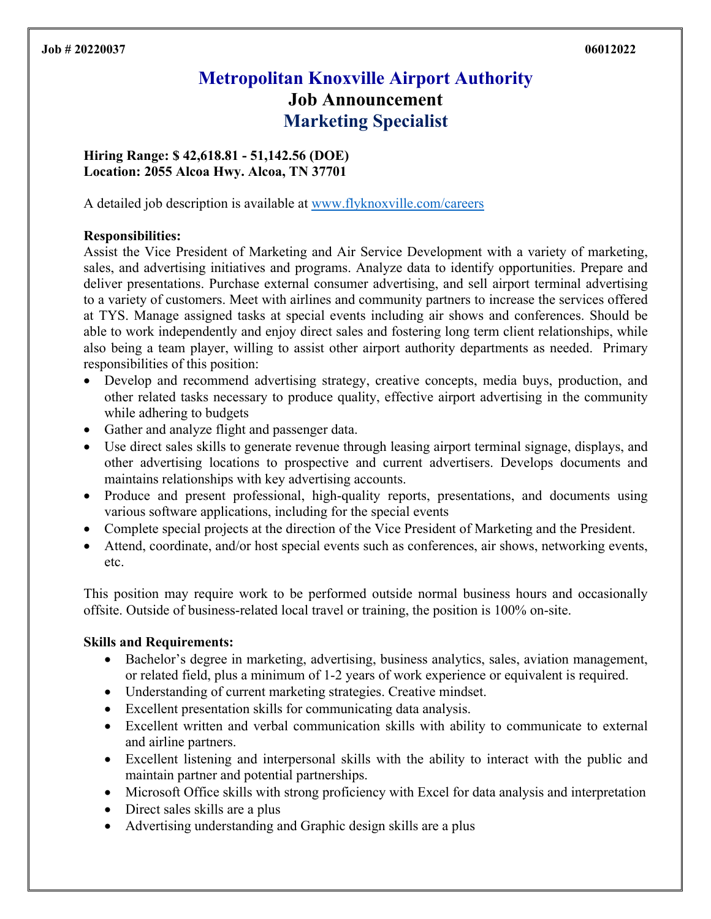# **Metropolitan Knoxville Airport Authority Job Announcement Marketing Specialist**

**Hiring Range: \$ 42,618.81 - 51,142.56 (DOE) Location: 2055 Alcoa Hwy. Alcoa, TN 37701** 

A detailed job description is available at www.flyknoxville.com/careers

#### **Responsibilities:**

Assist the Vice President of Marketing and Air Service Development with a variety of marketing, sales, and advertising initiatives and programs. Analyze data to identify opportunities. Prepare and deliver presentations. Purchase external consumer advertising, and sell airport terminal advertising to a variety of customers. Meet with airlines and community partners to increase the services offered at TYS. Manage assigned tasks at special events including air shows and conferences. Should be able to work independently and enjoy direct sales and fostering long term client relationships, while also being a team player, willing to assist other airport authority departments as needed. Primary responsibilities of this position:

- Develop and recommend advertising strategy, creative concepts, media buys, production, and other related tasks necessary to produce quality, effective airport advertising in the community while adhering to budgets
- Gather and analyze flight and passenger data.
- Use direct sales skills to generate revenue through leasing airport terminal signage, displays, and other advertising locations to prospective and current advertisers. Develops documents and maintains relationships with key advertising accounts.
- Produce and present professional, high-quality reports, presentations, and documents using various software applications, including for the special events
- Complete special projects at the direction of the Vice President of Marketing and the President.
- Attend, coordinate, and/or host special events such as conferences, air shows, networking events, etc.

This position may require work to be performed outside normal business hours and occasionally offsite. Outside of business-related local travel or training, the position is 100% on-site.

### **Skills and Requirements:**

- Bachelor's degree in marketing, advertising, business analytics, sales, aviation management, or related field, plus a minimum of 1-2 years of work experience or equivalent is required.
- Understanding of current marketing strategies. Creative mindset.
- Excellent presentation skills for communicating data analysis.
- Excellent written and verbal communication skills with ability to communicate to external and airline partners.
- Excellent listening and interpersonal skills with the ability to interact with the public and maintain partner and potential partnerships.
- Microsoft Office skills with strong proficiency with Excel for data analysis and interpretation
- Direct sales skills are a plus
- Advertising understanding and Graphic design skills are a plus